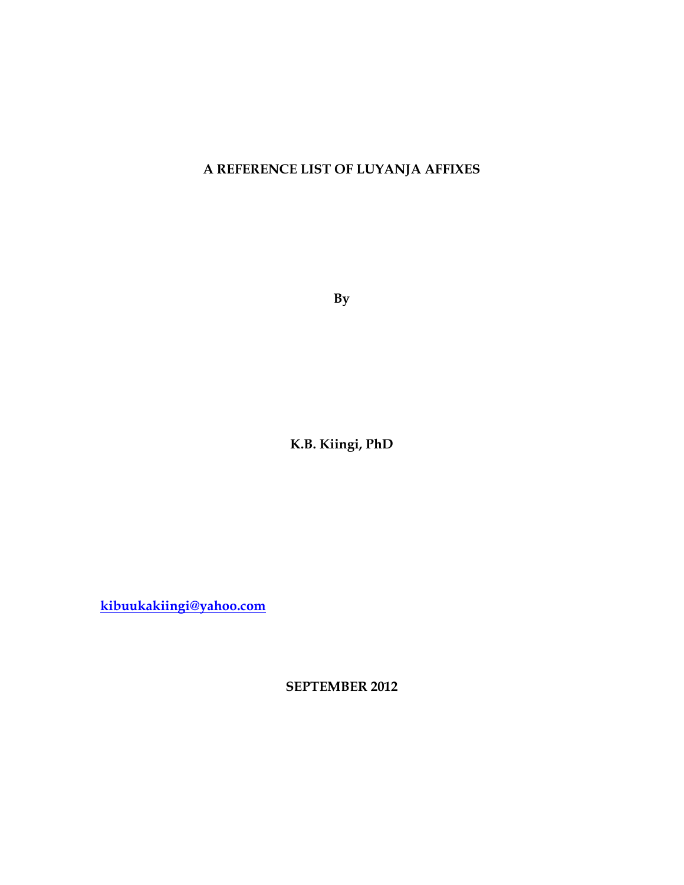## **A REFERENCE LIST OF LUYANJA AFFIXES**

**By**

**K.B. Kiingi, PhD**

**[kibuukakiingi@yahoo.com](mailto:kibuukakiingi@yahoo.com)**

**SEPTEMBER 2012**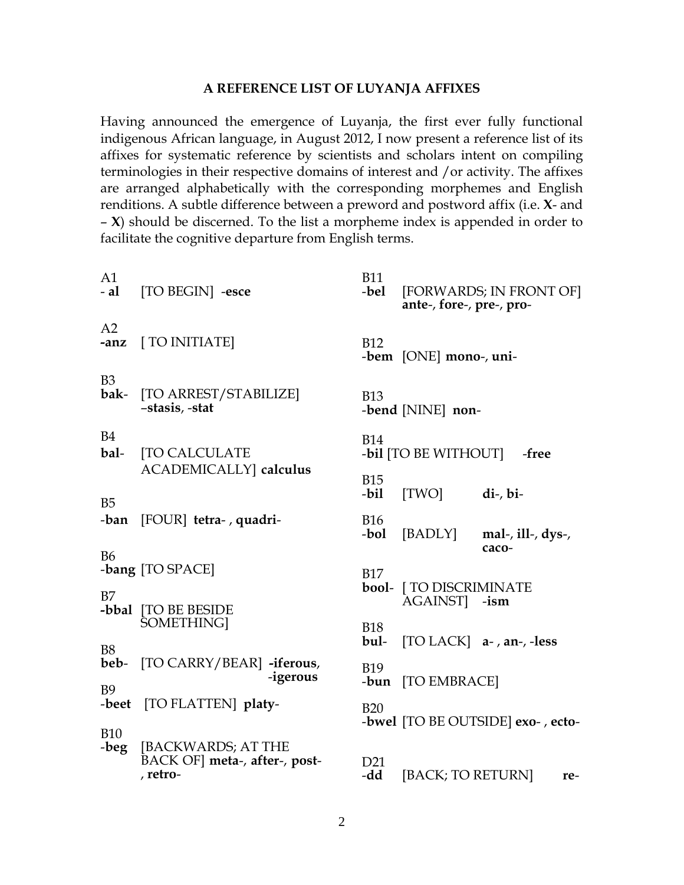## A REFERENCE LIST OF LUYANJA AFFIXES

Having announced the emergence of Luyanja, the first ever fully functional indigenous African language, in August 2012, I now present a reference list of its affixes for systematic reference by scientists and scholars intent on compiling terminologies in their respective domains of interest and /or activity. The affixes are arranged alphabetically with the corresponding morphemes and English renditions. A subtle difference between a preword and postword affix (i.e. X- and  $- X$ ) should be discerned. To the list a morpheme index is appended in order to facilitate the cognitive departure from English terms.

| A1<br>- al             | [TO BEGIN] -esce                                               | <b>B11</b><br>-bel     | [FORWARDS; IN FRONT OF]<br>ante-, fore-, pre-, pro- |
|------------------------|----------------------------------------------------------------|------------------------|-----------------------------------------------------|
| A2<br>-anz             | [ TO INITIATE]                                                 | <b>B12</b>             | -bem [ONE] mono-, uni-                              |
| B <sub>3</sub><br>bak- | [TO ARREST/STABILIZE]<br>-stasis, -stat                        | <b>B13</b>             | -bend [NINE] non-                                   |
| <b>B4</b><br>bal-      | <b>[TO CALCULATE</b>                                           | <b>B14</b>             | -bil [TO BE WITHOUT]<br>-free                       |
| B <sub>5</sub>         | ACADEMICALLY calculus                                          | <b>B15</b><br>-bil     | [TWO]<br>$di-, bi-$                                 |
| -ban                   | [FOUR] tetra-, quadri-                                         | <b>B16</b><br>-bol     | [BADLY]<br>mal-, $ill$ -, $dys$ -,<br>caco-         |
| <b>B6</b>              | -bang [TO SPACE]                                               | <b>B17</b>             |                                                     |
| B7                     | -bbal [TO BE BESIDE                                            |                        | bool- [ TO DISCRIMINATE<br>AGAINST -ism             |
| <b>B8</b>              | SOMETHING]                                                     | <b>B18</b><br>bul-     | [TO LACK] $a-$ , an-, -less                         |
| beb-<br><b>B9</b>      | [TO CARRY/BEAR] -iferous,<br>-igerous                          | <b>B19</b>             | -bun [TO EMBRACE]                                   |
| -beet                  | [TO FLATTEN] platy-                                            | <b>B20</b>             | -bwel [TO BE OUTSIDE] exo-, ecto-                   |
| <b>B10</b><br>-beg     | [BACKWARDS; AT THE<br>BACK OF meta-, after-, post-<br>, retro- | D <sub>21</sub><br>-dd | [BACK; TO RETURN]<br>re-                            |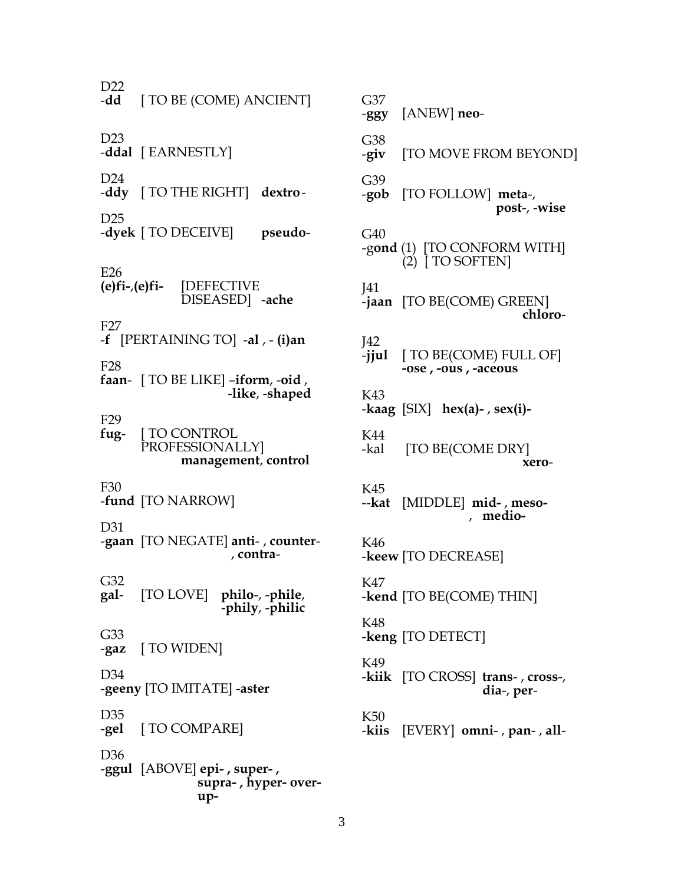$D22$ <br> $-dd$ -**dd** [ TO BE (COME) ANCIENT] D23 -**ddal** [ EARNESTLY] D24 -**ddy** [ TO THE RIGHT] **dextro**-D25 -**dyek** [ TO DECEIVE] **pseudo**-E26 **(e)fi-**,**(e)fi-** [DEFECTIVE DISEASED] -**ache** F27 -**f** [PERTAINING TO] -**al** , - **(i)an** F28 **faan**- [ TO BE LIKE] –**iform**, -**oid** , -**like**, -**shaped** F29 **fug**- [ TO CONTROL PROFESSIONALLY] **management**, **control** F30 -**fund** [TO NARROW] D31 -**gaan** [TO NEGATE] **anti**- , **counter**- , **contra**-G32<br>gal**gal**- [TO LOVE] **philo**-, -**phile**, -**phily**, -**philic** G33 -**gaz** [ TO WIDEN] D34 -**geeny** [TO IMITATE] -**aster** D35 -**gel** [ TO COMPARE] D36 -**ggul** [ABOVE] **epi- , super- , supra- , hyper- over up-**

G37 -**ggy** [ANEW] **neo**-G38 -**giv** [TO MOVE FROM BEYOND] G39 -**gob** [TO FOLLOW] **meta**-, **post**-, -**wise** G40 -g**ond** (1) [TO CONFORM WITH] (2) [ TO SOFTEN] J41 -**jaan** [TO BE(COME) GREEN] **chloro**-J42 -**jjul** [ TO BE(COME) FULL OF] **-ose , -ous , -aceous** K43 -**kaag** [SIX] **hex(a)-** , **sex(i)-** K44 -kal [TO BE(COME DRY] **xero**-K45 --**kat** [MIDDLE] **mid-** , **meso-** , **medio-**K46 -**keew** [TO DECREASE] K47 -**kend** [TO BE(COME) THIN] K48 -**keng** [TO DETECT] K49 -**kiik** [TO CROSS] **trans**- , **cross**-, **dia**-, **per**-K50 -**kiis** [EVERY] **omni**- , **pan**- , **all**-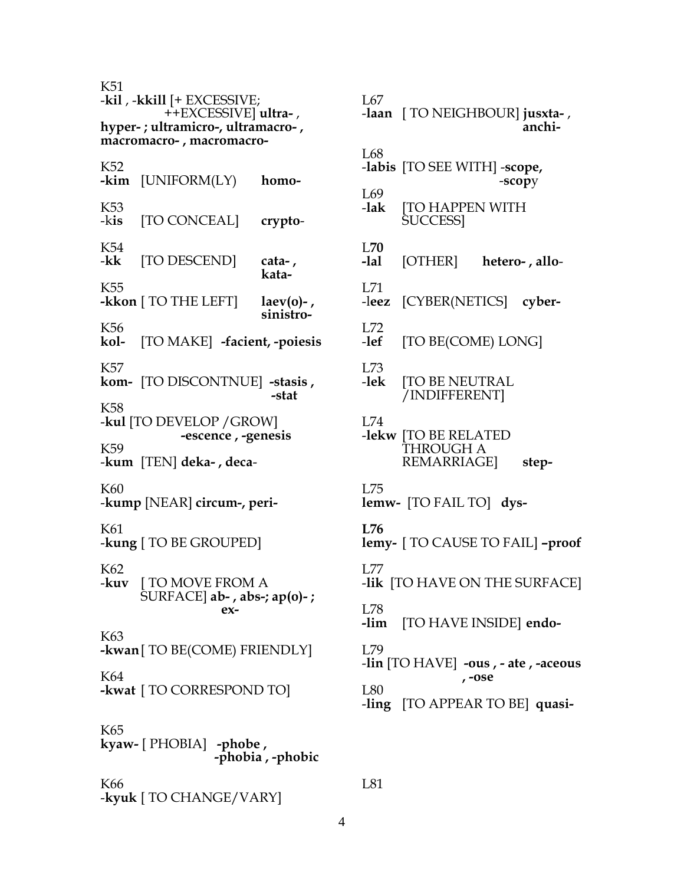K51 -kil , -kkill [+ EXCESSIVE; ++EXCESSIVE ultra-, hyper-; ultramicro-, ultramacro-, macromacro-, macromacro-K52 - $\lim$  [UNIFORM(LY) homo-K53 -kis [TO CONCEAL] crypto-K<sub>54</sub> [TO DESCEND] -kk cata-, kata-K<sub>55</sub> -kkon [ TO THE LEFT]  $laev(o)$ -, sinistro-K<sub>56</sub> [TO MAKE] -facient, -poiesis kol-**K57** kom- [TO DISCONTNUE] -stasis, -stat K<sub>58</sub> -kul [TO DEVELOP / GROW] -escence, -genesis K<sub>59</sub> -kum [TEN] deka-, deca-K60 -kump [NEAR] circum-, peri-K61 -kung [ TO BE GROUPED] K<sub>62</sub> -kuv [ TO MOVE FROM A  $\text{SURFACE}$ ] ab-, abs-; ap(0)-;  $ex-$ K63 -kwan [ TO BE(COME) FRIENDLY] K64 -kwat [ TO CORRESPOND TO] K65 kyaw- [ PHOBIA] -phobe, -phobia, -phobic K66 -kyuk [ TO CHANGE/VARY]

I.67 -laan [ TO NEIGHBOUR] jusxta-, anchi- $L68$ -labis [TO SEE WITH] -scope, -scopy  $L69$ -lak **TO HAPPEN WITH** SUCCESS]  $1.70$ [OTHER] -lal hetero-, allo- $L71$ -leez [CYBER(NETICS] cyber-I.72  $-let$ [TO BE(COME) LONG]  $L73$ -lek **[TO BE NEUTRAL** /INDIFFERENT] I.74 -lekw [TO BE RELATED THROUGH A **REMARRIAGE** step-L75 lemw- [TO FAIL TO] dys- $L76$ lemy- [ TO CAUSE TO FAIL] -proof I.77 -lik [TO HAVE ON THE SURFACE] L78 [TO HAVE INSIDE] endo--lim  $L79$ -lin [TO HAVE] -ous, - ate, -aceous , -ose **L80** -ling [TO APPEAR TO BE] quasi-

L81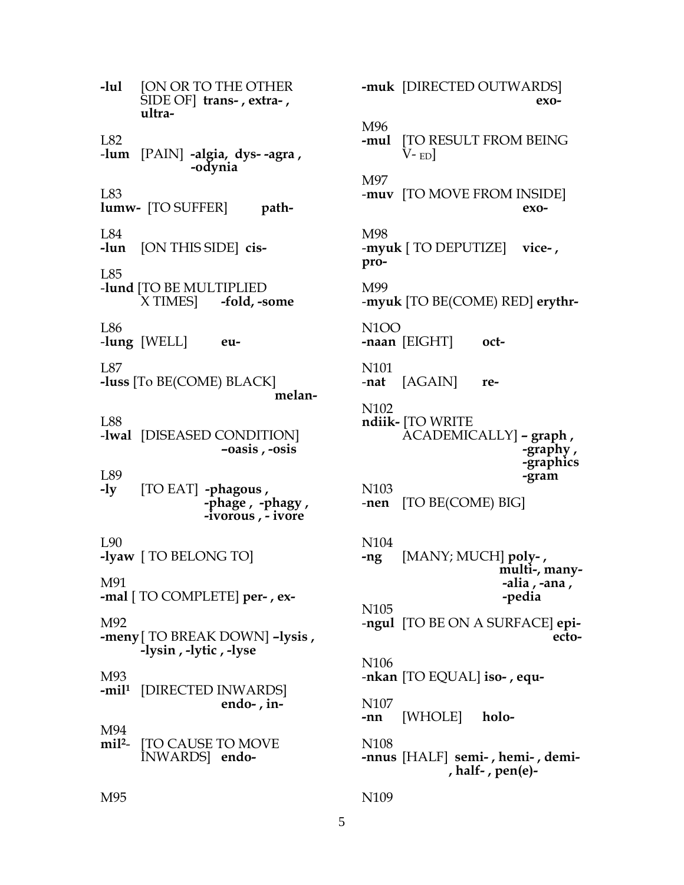$-lul$ **JON OR TO THE OTHER** SIDE OF] trans-, extra-, ultra-L82 -lum [PAIN] -algia, dys- -agra, -odynia  $L83$ lumw- [TO SUFFER] path- $L84$ -lun [ON THIS SIDE] cis-I 85 -lund [TO BE MULTIPLIED X TIMES -fold, -some L86 -lung  $[WELL]$ eu- $L87$ -luss [To BE(COME) BLACK] melan-**L88** -lwal [DISEASED CONDITION]  $-oasis$ ,  $-osis$ **L89** -ly [TO EAT] -phagous, -phage, -phagy, -ivorous, - ivore **1.90** -lyaw [ TO BELONG TO] M91 -mal [ TO COMPLETE] per-, ex-M92 -meny [ TO BREAK DOWN] -lysis, -lysin, -lytic, -lyse M93 -mil<sup>1</sup> [DIRECTED INWARDS] endo-,  $in$ -M94 **[TO CAUSE TO MOVE**  $\mathbf{mil}^2$ -INWARDS endo-muk [DIRECTED OUTWARDS]  $exo-$ M96 **[TO RESULT FROM BEING** -mul V- $_{\rm ED}$ ] M97 -muv [TO MOVE FROM INSIDE] exo-M98  $-mvuk$  [ TO DEPUTIZE] vice-, pro-M99 -myuk [TO BE(COME) RED] erythr-N<sub>1</sub>O<sub>O</sub> -naan  $[EIGHT]$ oct-N<sub>101</sub> [AGAIN] -nat re-N<sub>102</sub> ndiik- [TO WRITE] ACADEMICALLY] - graph, -graphy, -graphics -gram N<sub>10</sub>3 -nen [TO BE(COME) BIG] N<sub>104</sub> [MANY; MUCH] poly-,  $-ng$ multi-, many--alia , -ana , -pedia N<sub>105</sub> -ngul [TO BE ON A SURFACE] epiecto-N<sub>106</sub> -nkan [TO EQUAL] iso-, equ-N<sub>10</sub>7 -nn [WHOLE] holo-N<sub>108</sub> -nnus [HALF] semi-, hemi-, demi-, half-,  $pen(e)$ -N<sub>109</sub>

## M95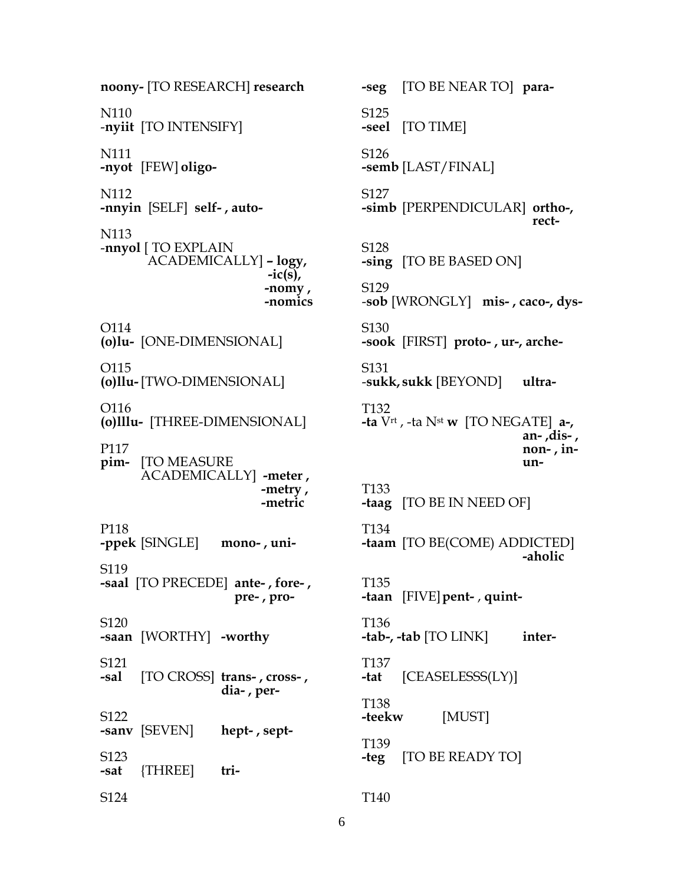noony- [TO RESEARCH] research N<sub>110</sub> -nyiit [TO INTENSIFY] N111 -nyot [FEW] oligo-N112 -nnyin [SELF] self-, auto-N113 -nnyol [ TO EXPLAIN ACADEMICALLY] - logy,  $-ic(s)$ , -nomy, -nomics O114 (o)lu- [ONE-DIMENSIONAL] O115 (o)llu-[TWO-DIMENSIONAL] O116 (o) Illu- [THREE-DIMENSIONAL] P117 pim- [TO MEASURE] ACADEMICALLY] -meter, -metry, -metric P118 -ppek [SINGLE] mono-, uni-S<sub>119</sub> -saal [TO PRECEDE] ante-, fore-, pre-, pro-S<sub>120</sub> -saan [WORTHY] -worthy S121 -sal [TO CROSS] trans-, cross-, dia-, per-S122 -sanv [SEVEN] hept-, sept-S<sub>123</sub> {THREE] tri--sat S124

[TO BE NEAR TO] para--seg S<sub>125</sub> -seel [TO TIME] S126  $-$ semb $[LAST/FINAL]$ S<sub>127</sub> -simb [PERPENDICULAR] ortho-, rect-S<sub>128</sub> -sing [TO BE BASED ON] S129 -sob [WRONGLY] mis-, caco-, dys-S<sub>130</sub> -sook [FIRST] proto-, ur-, arche-S131 -sukk, sukk [BEYOND] ultra-T<sub>132</sub> **-ta**  $V^{\text{rt}}$ , -ta  $N^{\text{st}}$  **w** [TO NEGATE] **a-**, , -dis. -an non-, inun-T<sub>133</sub> -taag [TO BE IN NEED OF] T<sub>134</sub> **-taam** [TO BE(COME) ADDICTED] -aholic T135 -taan [FIVE] pent-, quint-T<sub>136</sub> -tab-, -tab  $[TO LINK]$ inter-T<sub>137</sub>  $[CEASELESS(LY)]$ -tat T<sub>138</sub> -teekw [MUST] T139 -teg [TO BE READY TO] T<sub>140</sub>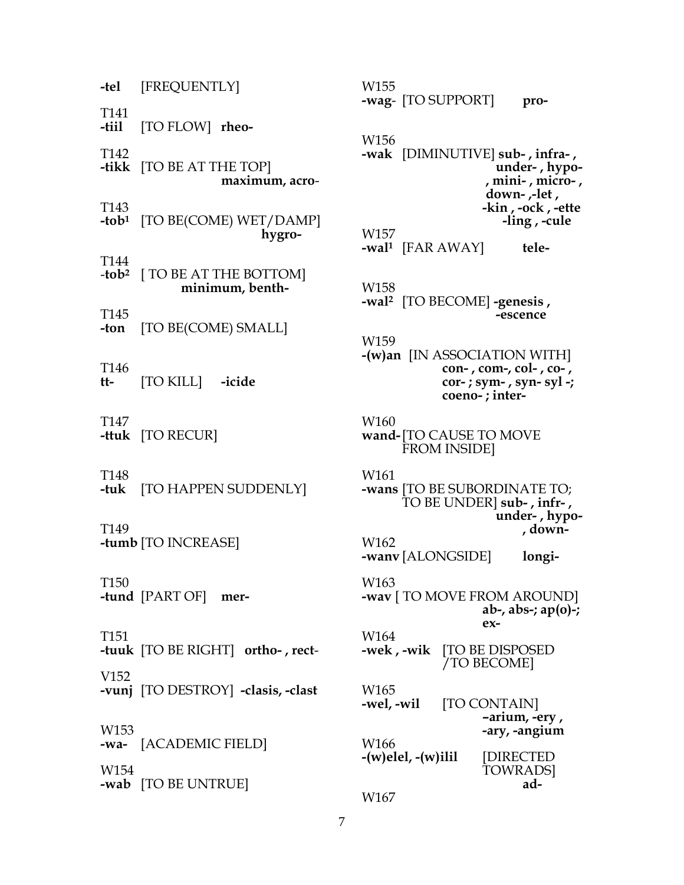-tel [FREQUENTLY] T<sub>141</sub> -tiil [TO FLOW] rheo-T<sub>142</sub> **-tikk** [TO BE AT THE TOP] maximum, acro-T<sub>143</sub> -tob<sup>1</sup> [TO BE(COME) WET/DAMP] hygro-T144  $-tob<sup>2</sup>$  [ TO BE AT THE BOTTOM] minimum, benth-T<sub>145</sub> [TO BE(COME) SMALL] -ton T<sub>146</sub> [TO KILL] tt--icide T147 -ttuk  $[TO RECUR]$ T<sub>148</sub> -tuk-[TO HAPPEN SUDDENLY] T<sub>149</sub> -tumb [TO INCREASE] T<sub>150</sub> -tund [PART OF] mer-T151 -tuuk [TO BE RIGHT] ortho-, rect-V<sub>152</sub> -vunj [TO DESTROY] -clasis, -clast W<sub>153</sub> -wa- [ACADEMIC FIELD] W<sub>154</sub> -wab [TO BE UNTRUE]

W155 -wag- [TO SUPPORT] pro-W<sub>156</sub> -wak [DIMINUTIVE] sub-, infra-, under-, hypo-, mini-, micro-, down- ,-let, -kin, -ock, -ette -ling, -cule W157 -wal<sup>1</sup> [FAR AWAY] tele-W158 -wal<sup>2</sup> [TO BECOME] -genesis, -escence W159  $-(w)$ an [IN ASSOCIATION WITH]  $con-$ ,  $com-$ ,  $col-$ ,  $co-$ ,  $cor$ -; sym-, syn-syl -; coeno-; inter-W<sub>160</sub> wand-[TO CAUSE TO MOVE **FROM INSIDE]** W<sub>161</sub> -wans [TO BE SUBORDINATE TO; TO BE UNDER] sub-, infr-, under-, hypo-, down-W162 -wany [ALONGSIDE] longi-W<sub>163</sub> -wav [ TO MOVE FROM AROUND] ab-, abs-;  $ap(0)$ -;  $ex-$ W164 -wek, -wik [TO BE DISPOSED] /TO BECOME] W<sub>165</sub> -wel, -wil [TO CONTAIN] -arium, -ery, -ary, -angium W<sub>166</sub>  $-(w)$ elel,  $-(w)$ ilil [DIRECTED] **TOWRADS** ad-W167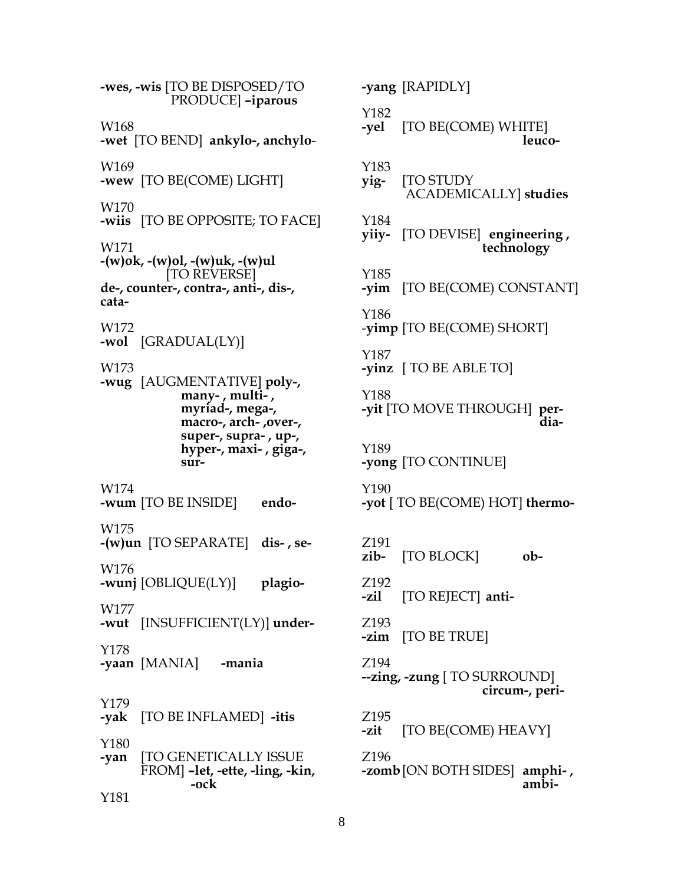**-wes, -wis** [TO BE DISPOSED/TO PRODUCE] **–iparous** W168 **-wet** [TO BEND] **ankylo-, anchylo**-W169 **-wew** [TO BE(COME) LIGHT] W170 **-wiis** [TO BE OPPOSITE; TO FACE] W171 **-(w)ok, -(w)ol, -(w)uk, -(w)ul** [TO REVERSE] **de-, counter-, contra-, anti-, dis-, cata-**W172 **-wol** [GRADUAL(LY)] W173 **-wug** [AUGMENTATIVE] **poly-, many- , multi- , myriad-, mega-, macro-, arch- ,over-, super-, supra- , up-, hyper-, maxi- , giga-, sur-**W174 **-wum** [TO BE INSIDE] **endo-**W175 **-(w)un** [TO SEPARATE] **dis- , se-**W176 **-wunj** [OBLIQUE(LY)] **plagio-**W177 **-wut** [INSUFFICIENT(LY)] **under-**Y178 **-yaan** [MANIA] **-mania** Y179 **-yak** [TO BE INFLAMED] **-itis** Y180 **-yan** [TO GENETICALLY ISSUE FROM] **–let, -ette, -ling, -kin, -ock** Y181

**-yang** [RAPIDLY] Y182<br>-yel **-yel** [TO BE(COME) WHITE] **leuco-**Y183 **yig-** [TO STUDY ACADEMICALLY] **studies** Y184 **yiiy-** [TO DEVISE] **engineering , technology** Y185 **-yim** [TO BE(COME) CONSTANT] Y186 -**yimp** [TO BE(COME) SHORT] Y187 **-yinz** [ TO BE ABLE TO] Y188 **-yit** [TO MOVE THROUGH] **per- dia-**Y189 **-yong** [TO CONTINUE] Y190 **-yot** [ TO BE(COME) HOT] **thermo-**Z191 **zib-** [TO BLOCK] **ob-**Z192 **-zil** [TO REJECT] **anti-**Z193 **-zim** [TO BE TRUE] Z194 **--zing, -zung** [ TO SURROUND] **circum-, peri-**Z195 **-zit** [TO BE(COME) HEAVY] Z196 **-zomb**[ON BOTH SIDES] **amphi- , ambi-**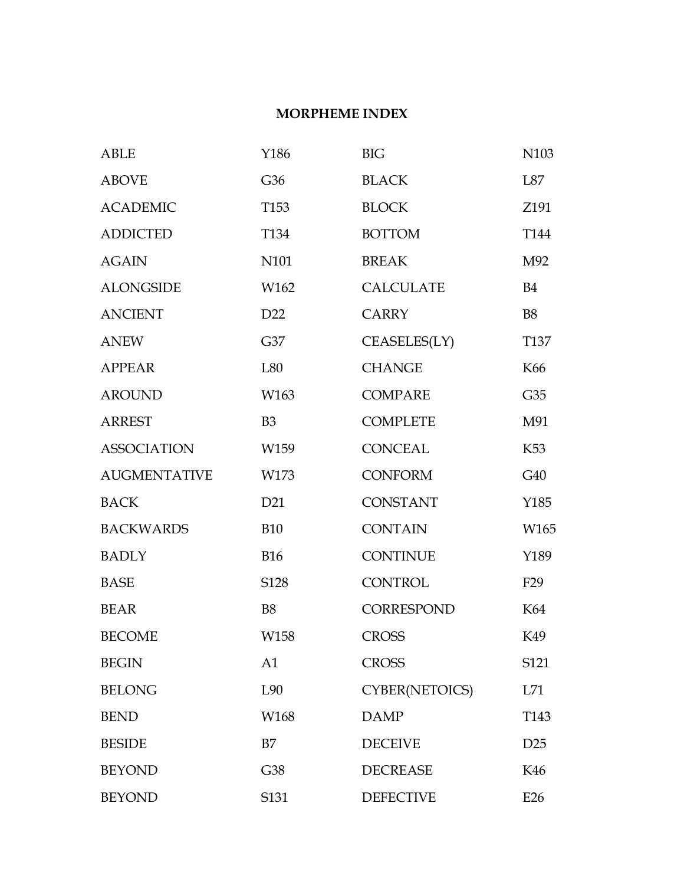## **MORPHEME INDEX**

| <b>ABLE</b>         | Y186             | <b>BIG</b>       | N103             |
|---------------------|------------------|------------------|------------------|
| <b>ABOVE</b>        | G36              | <b>BLACK</b>     | L87              |
| <b>ACADEMIC</b>     | T <sub>153</sub> | <b>BLOCK</b>     | Z191             |
| <b>ADDICTED</b>     | T <sub>134</sub> | <b>BOTTOM</b>    | T <sub>144</sub> |
| <b>AGAIN</b>        | N101             | <b>BREAK</b>     | M92              |
| <b>ALONGSIDE</b>    | W162             | <b>CALCULATE</b> | <b>B4</b>        |
| <b>ANCIENT</b>      | D <sub>22</sub>  | <b>CARRY</b>     | <b>B8</b>        |
| <b>ANEW</b>         | G37              | CEASELES(LY)     | T <sub>137</sub> |
| <b>APPEAR</b>       | L80              | <b>CHANGE</b>    | K66              |
| <b>AROUND</b>       | W163             | <b>COMPARE</b>   | G35              |
| <b>ARREST</b>       | B <sub>3</sub>   | <b>COMPLETE</b>  | M91              |
| <b>ASSOCIATION</b>  | W159             | <b>CONCEAL</b>   | K <sub>53</sub>  |
| <b>AUGMENTATIVE</b> | W173             | <b>CONFORM</b>   | G40              |
| <b>BACK</b>         | D21              | <b>CONSTANT</b>  | Y185             |
| <b>BACKWARDS</b>    | <b>B10</b>       | <b>CONTAIN</b>   | W165             |
| <b>BADLY</b>        | <b>B16</b>       | <b>CONTINUE</b>  | Y189             |
| <b>BASE</b>         | S128             | <b>CONTROL</b>   | F <sub>29</sub>  |
| <b>BEAR</b>         | <b>B8</b>        | CORRESPOND       | K64              |
| <b>BECOME</b>       | W158             | <b>CROSS</b>     | K49              |
| <b>BEGIN</b>        | A <sub>1</sub>   | <b>CROSS</b>     | S <sub>121</sub> |
| <b>BELONG</b>       | L90              | CYBER(NETOICS)   | L71              |
| <b>BEND</b>         | W168             | <b>DAMP</b>      | T143             |
| <b>BESIDE</b>       | B7               | <b>DECEIVE</b>   | D <sub>25</sub>  |
| <b>BEYOND</b>       | G38              | <b>DECREASE</b>  | K46              |
| <b>BEYOND</b>       | S131             | <b>DEFECTIVE</b> | E26              |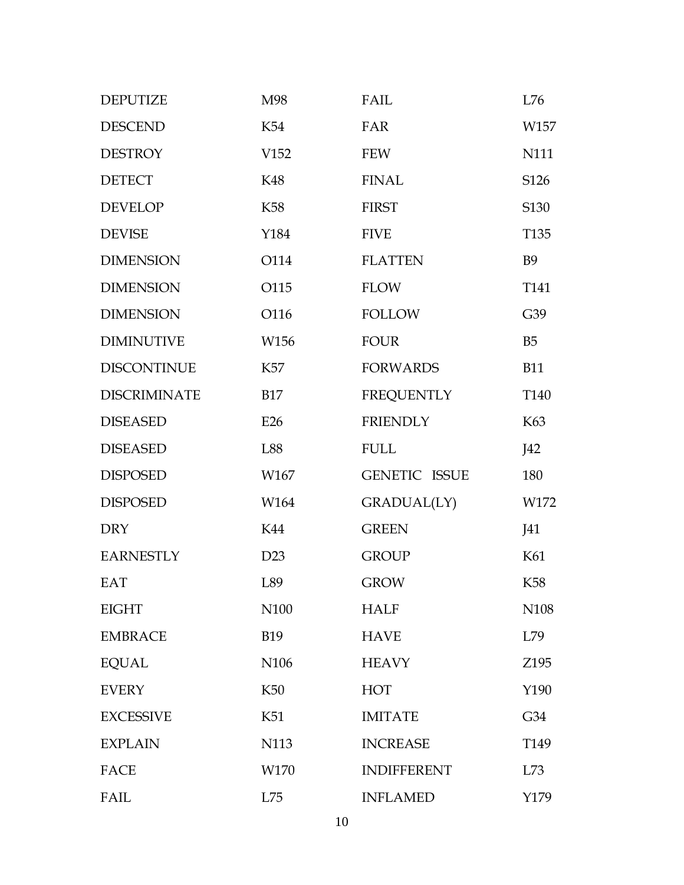| <b>DEPUTIZE</b>     | M98              | FAIL                 | L76              |
|---------------------|------------------|----------------------|------------------|
| <b>DESCEND</b>      | K54              | FAR                  | W157             |
| <b>DESTROY</b>      | V <sub>152</sub> | <b>FEW</b>           | N111             |
| <b>DETECT</b>       | K48              | <b>FINAL</b>         | S126             |
| <b>DEVELOP</b>      | <b>K58</b>       | <b>FIRST</b>         | S130             |
| <b>DEVISE</b>       | Y184             | <b>FIVE</b>          | T <sub>135</sub> |
| <b>DIMENSION</b>    | O114             | <b>FLATTEN</b>       | <b>B9</b>        |
| <b>DIMENSION</b>    | O115             | <b>FLOW</b>          | T <sub>141</sub> |
| <b>DIMENSION</b>    | O116             | <b>FOLLOW</b>        | G39              |
| <b>DIMINUTIVE</b>   | W156             | <b>FOUR</b>          | B <sub>5</sub>   |
| <b>DISCONTINUE</b>  | K57              | <b>FORWARDS</b>      | <b>B11</b>       |
| <b>DISCRIMINATE</b> | <b>B17</b>       | <b>FREQUENTLY</b>    | T <sub>140</sub> |
| <b>DISEASED</b>     | E26              | <b>FRIENDLY</b>      | K63              |
| <b>DISEASED</b>     | L88              | <b>FULL</b>          | J42              |
| <b>DISPOSED</b>     | W167             | <b>GENETIC ISSUE</b> | 180              |
| <b>DISPOSED</b>     | W164             | GRADUAL(LY)          | W172             |
| <b>DRY</b>          | K44              | <b>GREEN</b>         | J41              |
| <b>EARNESTLY</b>    | D23              | <b>GROUP</b>         | K61              |
| EAT                 | L89              | <b>GROW</b>          | K <sub>58</sub>  |
| <b>EIGHT</b>        | N <sub>100</sub> | <b>HALF</b>          | N <sub>108</sub> |
| <b>EMBRACE</b>      | <b>B19</b>       | <b>HAVE</b>          | L79              |
| <b>EQUAL</b>        | N <sub>106</sub> | <b>HEAVY</b>         | Z195             |
| <b>EVERY</b>        | K <sub>50</sub>  | <b>HOT</b>           | Y190             |
| <b>EXCESSIVE</b>    | K51              | <b>IMITATE</b>       | G <sub>34</sub>  |
| <b>EXPLAIN</b>      | N113             | <b>INCREASE</b>      | T <sub>149</sub> |
| <b>FACE</b>         | W170             | <b>INDIFFERENT</b>   | L73              |
| FAIL                | L75              | <b>INFLAMED</b>      | Y179             |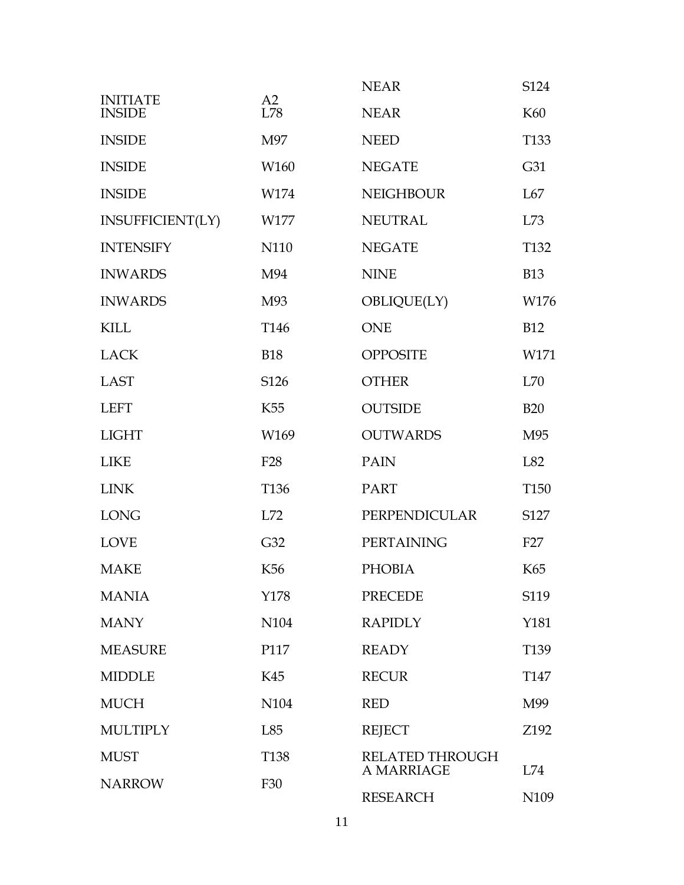|                                  |                  | <b>NEAR</b>                   | S124                    |
|----------------------------------|------------------|-------------------------------|-------------------------|
| <b>INITIATE</b><br><b>INSIDE</b> | A2<br>L78        | <b>NEAR</b>                   | K60                     |
| <b>INSIDE</b>                    | M97              | <b>NEED</b>                   | T <sub>133</sub>        |
| <b>INSIDE</b>                    | W160             | <b>NEGATE</b>                 | G31                     |
| <b>INSIDE</b>                    | W174             | <b>NEIGHBOUR</b>              | L67                     |
| INSUFFICIENT(LY)                 | W177             | <b>NEUTRAL</b>                | L73                     |
| <b>INTENSIFY</b>                 | N110             | <b>NEGATE</b>                 | T <sub>132</sub>        |
| <b>INWARDS</b>                   | M94              | <b>NINE</b>                   | <b>B13</b>              |
| <b>INWARDS</b>                   | M93              | OBLIQUE(LY)                   | W176                    |
| <b>KILL</b>                      | T <sub>146</sub> | <b>ONE</b>                    | <b>B12</b>              |
| <b>LACK</b>                      | <b>B18</b>       | <b>OPPOSITE</b>               | W171                    |
| <b>LAST</b>                      | S126             | <b>OTHER</b>                  | L70                     |
| <b>LEFT</b>                      | K <sub>55</sub>  | <b>OUTSIDE</b>                | <b>B20</b>              |
| <b>LIGHT</b>                     | W169             | <b>OUTWARDS</b>               | M95                     |
| <b>LIKE</b>                      | F <sub>28</sub>  | <b>PAIN</b>                   | L82                     |
| <b>LINK</b>                      | T136             | <b>PART</b>                   | T <sub>150</sub>        |
| <b>LONG</b>                      | L72              | PERPENDICULAR                 | S127                    |
| <b>LOVE</b>                      | G32              | PERTAINING                    | F27                     |
| <b>MAKE</b>                      | K56              | <b>PHOBIA</b>                 | K65                     |
| <b>MANIA</b>                     | Y178             | <b>PRECEDE</b>                | S119                    |
| <b>MANY</b>                      | N104             | <b>RAPIDLY</b>                | Y181                    |
| <b>MEASURE</b>                   | P117             | <b>READY</b>                  | T <sub>139</sub>        |
| <b>MIDDLE</b>                    | K45              | <b>RECUR</b>                  | T <sub>147</sub>        |
| <b>MUCH</b>                      | N104             | <b>RED</b>                    | M99                     |
| <b>MULTIPLY</b>                  | L85              | <b>REJECT</b>                 | Z192                    |
| <b>MUST</b>                      | T <sub>138</sub> | <b>RELATED THROUGH</b>        |                         |
| <b>NARROW</b>                    | F30              | A MARRIAGE<br><b>RESEARCH</b> | L74<br>N <sub>109</sub> |